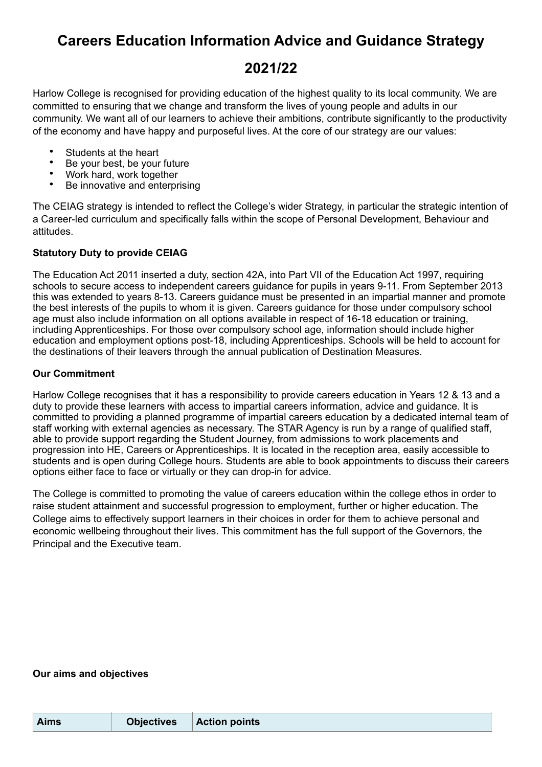# **Careers Education Information Advice and Guidance Strategy**

# **2021/22**

Harlow College is recognised for providing education of the highest quality to its local community. We are committed to ensuring that we change and transform the lives of young people and adults in our community. We want all of our learners to achieve their ambitions, contribute significantly to the productivity of the economy and have happy and purposeful lives. At the core of our strategy are our values:

- Students at the heart
- Be your best, be your future
- Work hard, work together
- Be innovative and enterprising

The CEIAG strategy is intended to reflect the College's wider Strategy, in particular the strategic intention of a Career-led curriculum and specifically falls within the scope of Personal Development, Behaviour and attitudes.

## **Statutory Duty to provide CEIAG**

The Education Act 2011 inserted a duty, section 42A, into Part VII of the Education Act 1997, requiring schools to secure access to independent careers guidance for pupils in years 9-11. From September 2013 this was extended to years 8-13. Careers guidance must be presented in an impartial manner and promote the best interests of the pupils to whom it is given. Careers guidance for those under compulsory school age must also include information on all options available in respect of 16-18 education or training, including Apprenticeships. For those over compulsory school age, information should include higher education and employment options post-18, including Apprenticeships. Schools will be held to account for the destinations of their leavers through the annual publication of Destination Measures.

## **Our Commitment**

Harlow College recognises that it has a responsibility to provide careers education in Years 12 & 13 and a duty to provide these learners with access to impartial careers information, advice and guidance. It is committed to providing a planned programme of impartial careers education by a dedicated internal team of staff working with external agencies as necessary. The STAR Agency is run by a range of qualified staff, able to provide support regarding the Student Journey, from admissions to work placements and progression into HE, Careers or Apprenticeships. It is located in the reception area, easily accessible to students and is open during College hours. Students are able to book appointments to discuss their careers options either face to face or virtually or they can drop-in for advice.

The College is committed to promoting the value of careers education within the college ethos in order to raise student attainment and successful progression to employment, further or higher education. The College aims to effectively support learners in their choices in order for them to achieve personal and economic wellbeing throughout their lives. This commitment has the full support of the Governors, the Principal and the Executive team.

### **Our aims and objectives**

| <b>Aims</b> | <b>Objectives</b> | <b>Action points</b> |
|-------------|-------------------|----------------------|
|             |                   |                      |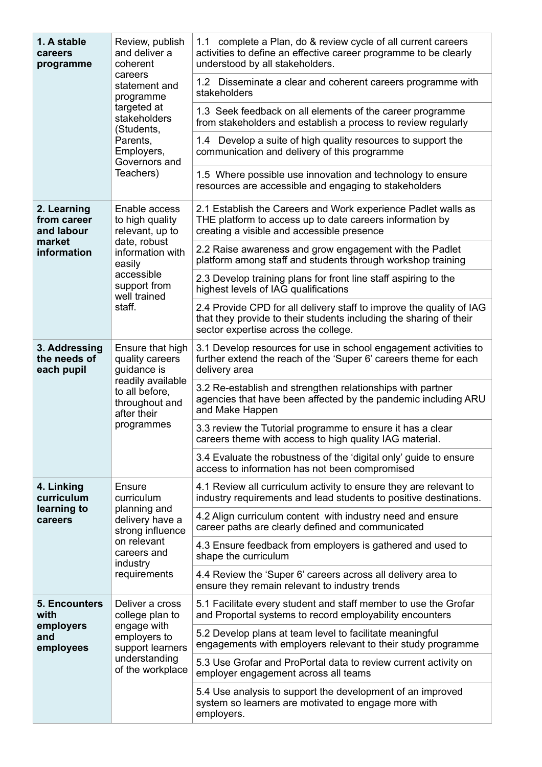| 1. A stable<br>careers<br>programme                                                                                                                 | Review, publish<br>and deliver a<br>coherent<br>careers<br>statement and<br>programme<br>targeted at<br>stakeholders<br>(Students,<br>Parents,<br>Employers,<br>Governors and<br>Teachers) | 1.1 complete a Plan, do & review cycle of all current careers<br>activities to define an effective career programme to be clearly<br>understood by all stakeholders.               |
|-----------------------------------------------------------------------------------------------------------------------------------------------------|--------------------------------------------------------------------------------------------------------------------------------------------------------------------------------------------|------------------------------------------------------------------------------------------------------------------------------------------------------------------------------------|
|                                                                                                                                                     |                                                                                                                                                                                            | 1.2 Disseminate a clear and coherent careers programme with<br>stakeholders                                                                                                        |
|                                                                                                                                                     |                                                                                                                                                                                            | 1.3 Seek feedback on all elements of the career programme<br>from stakeholders and establish a process to review regularly                                                         |
|                                                                                                                                                     |                                                                                                                                                                                            | 1.4 Develop a suite of high quality resources to support the<br>communication and delivery of this programme                                                                       |
|                                                                                                                                                     |                                                                                                                                                                                            | 1.5 Where possible use innovation and technology to ensure<br>resources are accessible and engaging to stakeholders                                                                |
| 2. Learning<br>from career<br>and labour<br>market<br>information                                                                                   | Enable access<br>to high quality<br>relevant, up to<br>date, robust<br>information with<br>easily<br>accessible<br>support from<br>well trained<br>staff.                                  | 2.1 Establish the Careers and Work experience Padlet walls as<br>THE platform to access up to date careers information by<br>creating a visible and accessible presence            |
|                                                                                                                                                     |                                                                                                                                                                                            | 2.2 Raise awareness and grow engagement with the Padlet<br>platform among staff and students through workshop training                                                             |
|                                                                                                                                                     |                                                                                                                                                                                            | 2.3 Develop training plans for front line staff aspiring to the<br>highest levels of IAG qualifications                                                                            |
|                                                                                                                                                     |                                                                                                                                                                                            | 2.4 Provide CPD for all delivery staff to improve the quality of IAG<br>that they provide to their students including the sharing of their<br>sector expertise across the college. |
| 3. Addressing<br>the needs of<br>each pupil                                                                                                         | Ensure that high<br>quality careers<br>guidance is<br>readily available<br>to all before.<br>throughout and<br>after their<br>programmes                                                   | 3.1 Develop resources for use in school engagement activities to<br>further extend the reach of the 'Super 6' careers theme for each<br>delivery area                              |
|                                                                                                                                                     |                                                                                                                                                                                            | 3.2 Re-establish and strengthen relationships with partner<br>agencies that have been affected by the pandemic including ARU<br>and Make Happen                                    |
|                                                                                                                                                     |                                                                                                                                                                                            | 3.3 review the Tutorial programme to ensure it has a clear<br>careers theme with access to high quality IAG material.                                                              |
|                                                                                                                                                     |                                                                                                                                                                                            | 3.4 Evaluate the robustness of the 'digital only' guide to ensure<br>access to information has not been compromised                                                                |
| 4. Linking<br>curriculum<br>learning to<br>careers                                                                                                  | Ensure<br>curriculum<br>planning and<br>delivery have a<br>strong influence<br>on relevant<br>careers and<br>industry<br>requirements                                                      | 4.1 Review all curriculum activity to ensure they are relevant to<br>industry requirements and lead students to positive destinations.                                             |
|                                                                                                                                                     |                                                                                                                                                                                            | 4.2 Align curriculum content with industry need and ensure<br>career paths are clearly defined and communicated                                                                    |
|                                                                                                                                                     |                                                                                                                                                                                            | 4.3 Ensure feedback from employers is gathered and used to<br>shape the curriculum                                                                                                 |
|                                                                                                                                                     |                                                                                                                                                                                            | 4.4 Review the 'Super 6' careers across all delivery area to<br>ensure they remain relevant to industry trends                                                                     |
| <b>5. Encounters</b><br>Deliver a cross<br>with<br>college plan to<br>engage with<br>employers<br>employers to<br>and<br>employees<br>understanding | support learners<br>of the workplace                                                                                                                                                       | 5.1 Facilitate every student and staff member to use the Grofar<br>and Proportal systems to record employability encounters                                                        |
|                                                                                                                                                     |                                                                                                                                                                                            | 5.2 Develop plans at team level to facilitate meaningful<br>engagements with employers relevant to their study programme                                                           |
|                                                                                                                                                     |                                                                                                                                                                                            | 5.3 Use Grofar and ProPortal data to review current activity on<br>employer engagement across all teams                                                                            |
|                                                                                                                                                     | 5.4 Use analysis to support the development of an improved<br>system so learners are motivated to engage more with<br>employers.                                                           |                                                                                                                                                                                    |